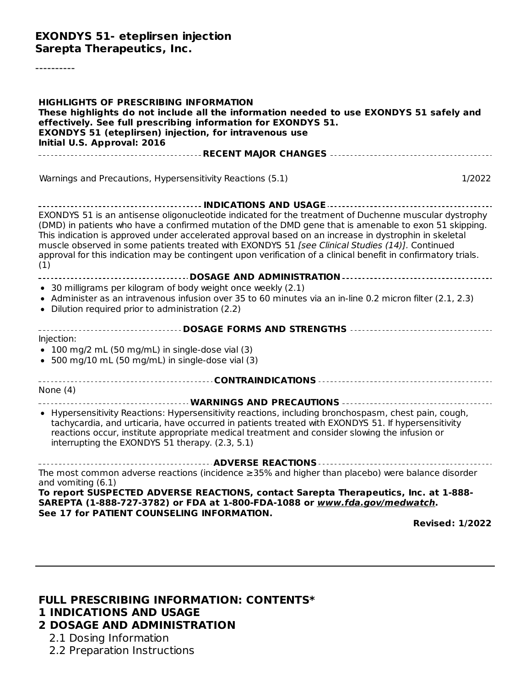### **EXONDYS 51- eteplirsen injection Sarepta Therapeutics, Inc.**

----------

| <b>HIGHLIGHTS OF PRESCRIBING INFORMATION</b><br>These highlights do not include all the information needed to use EXONDYS 51 safely and<br>effectively. See full prescribing information for EXONDYS 51.<br><b>EXONDYS 51 (eteplirsen) injection, for intravenous use</b><br>Initial U.S. Approval: 2016                                                                                                                                                                                                                                            |        |
|-----------------------------------------------------------------------------------------------------------------------------------------------------------------------------------------------------------------------------------------------------------------------------------------------------------------------------------------------------------------------------------------------------------------------------------------------------------------------------------------------------------------------------------------------------|--------|
|                                                                                                                                                                                                                                                                                                                                                                                                                                                                                                                                                     |        |
| Warnings and Precautions, Hypersensitivity Reactions (5.1)                                                                                                                                                                                                                                                                                                                                                                                                                                                                                          | 1/2022 |
|                                                                                                                                                                                                                                                                                                                                                                                                                                                                                                                                                     |        |
| EXONDYS 51 is an antisense oligonucleotide indicated for the treatment of Duchenne muscular dystrophy<br>(DMD) in patients who have a confirmed mutation of the DMD gene that is amenable to exon 51 skipping.<br>This indication is approved under accelerated approval based on an increase in dystrophin in skeletal<br>muscle observed in some patients treated with EXONDYS 51 [see Clinical Studies (14)]. Continued<br>approval for this indication may be contingent upon verification of a clinical benefit in confirmatory trials.<br>(1) |        |
| -----------------------------------DOSAGE AND ADMINISTRATION ------------------------------                                                                                                                                                                                                                                                                                                                                                                                                                                                         |        |
| • 30 milligrams per kilogram of body weight once weekly (2.1)<br>• Administer as an intravenous infusion over 35 to 60 minutes via an in-line 0.2 micron filter (2.1, 2.3)<br>• Dilution required prior to administration (2.2)                                                                                                                                                                                                                                                                                                                     |        |
| _________________________________DOSAGE FORMS AND STRENGTHS _____________________                                                                                                                                                                                                                                                                                                                                                                                                                                                                   |        |
| Injection:<br>$\bullet$ 100 mg/2 mL (50 mg/mL) in single-dose vial (3)<br>• 500 mg/10 mL (50 mg/mL) in single-dose vial (3)                                                                                                                                                                                                                                                                                                                                                                                                                         |        |
|                                                                                                                                                                                                                                                                                                                                                                                                                                                                                                                                                     |        |
| None $(4)$                                                                                                                                                                                                                                                                                                                                                                                                                                                                                                                                          |        |
| • Hypersensitivity Reactions: Hypersensitivity reactions, including bronchospasm, chest pain, cough,<br>tachycardia, and urticaria, have occurred in patients treated with EXONDYS 51. If hypersensitivity<br>reactions occur, institute appropriate medical treatment and consider slowing the infusion or<br>interrupting the EXONDYS 51 therapy. (2.3, 5.1)                                                                                                                                                                                      |        |
| The most common adverse reactions (incidence $\geq$ 35% and higher than placebo) were balance disorder<br>and vomiting (6.1)                                                                                                                                                                                                                                                                                                                                                                                                                        |        |
| To report SUSPECTED ADVERSE REACTIONS, contact Sarepta Therapeutics, Inc. at 1-888-<br>SAREPTA (1-888-727-3782) or FDA at 1-800-FDA-1088 or www.fda.gov/medwatch.<br>See 17 for PATIENT COUNSELING INFORMATION.<br><b>Revised: 1/2022</b>                                                                                                                                                                                                                                                                                                           |        |

#### **FULL PRESCRIBING INFORMATION: CONTENTS\* 1 INDICATIONS AND USAGE 2 DOSAGE AND ADMINISTRATION**

- 2.1 Dosing Information
- 2.2 Preparation Instructions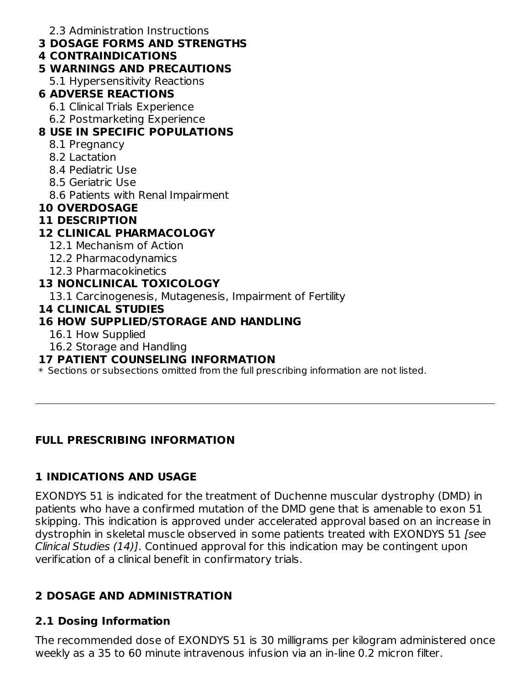2.3 Administration Instructions

- **3 DOSAGE FORMS AND STRENGTHS**
- **4 CONTRAINDICATIONS**

# **5 WARNINGS AND PRECAUTIONS**

5.1 Hypersensitivity Reactions

# **6 ADVERSE REACTIONS**

- 6.1 Clinical Trials Experience
- 6.2 Postmarketing Experience

# **8 USE IN SPECIFIC POPULATIONS**

- 8.1 Pregnancy
- 8.2 Lactation
- 8.4 Pediatric Use
- 8.5 Geriatric Use
- 8.6 Patients with Renal Impairment

# **10 OVERDOSAGE**

# **11 DESCRIPTION**

# **12 CLINICAL PHARMACOLOGY**

- 12.1 Mechanism of Action
- 12.2 Pharmacodynamics
- 12.3 Pharmacokinetics

# **13 NONCLINICAL TOXICOLOGY**

13.1 Carcinogenesis, Mutagenesis, Impairment of Fertility

# **14 CLINICAL STUDIES**

# **16 HOW SUPPLIED/STORAGE AND HANDLING**

- 16.1 How Supplied
- 16.2 Storage and Handling

# **17 PATIENT COUNSELING INFORMATION**

 $\ast$  Sections or subsections omitted from the full prescribing information are not listed.

# **FULL PRESCRIBING INFORMATION**

# **1 INDICATIONS AND USAGE**

EXONDYS 51 is indicated for the treatment of Duchenne muscular dystrophy (DMD) in patients who have a confirmed mutation of the DMD gene that is amenable to exon 51 skipping. This indication is approved under accelerated approval based on an increase in dystrophin in skeletal muscle observed in some patients treated with EXONDYS 51 [see Clinical Studies (14)]. Continued approval for this indication may be contingent upon verification of a clinical benefit in confirmatory trials.

# **2 DOSAGE AND ADMINISTRATION**

# **2.1 Dosing Information**

The recommended dose of EXONDYS 51 is 30 milligrams per kilogram administered once weekly as a 35 to 60 minute intravenous infusion via an in-line 0.2 micron filter.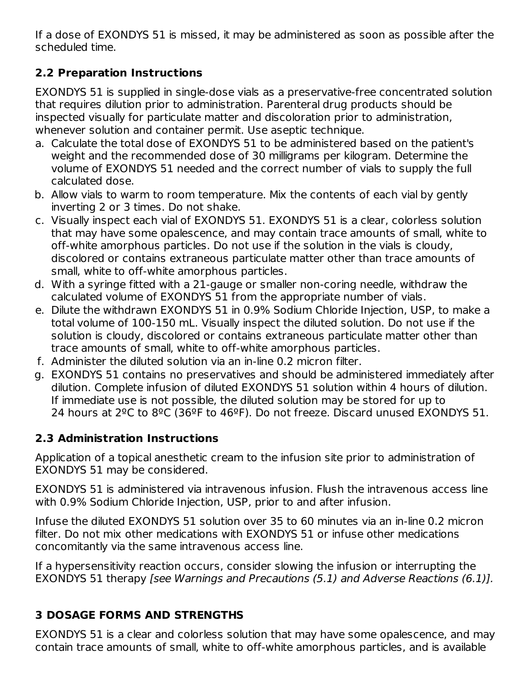If a dose of EXONDYS 51 is missed, it may be administered as soon as possible after the scheduled time.

# **2.2 Preparation Instructions**

EXONDYS 51 is supplied in single-dose vials as a preservative-free concentrated solution that requires dilution prior to administration. Parenteral drug products should be inspected visually for particulate matter and discoloration prior to administration, whenever solution and container permit. Use aseptic technique.

- a. Calculate the total dose of EXONDYS 51 to be administered based on the patient's weight and the recommended dose of 30 milligrams per kilogram. Determine the volume of EXONDYS 51 needed and the correct number of vials to supply the full calculated dose.
- b. Allow vials to warm to room temperature. Mix the contents of each vial by gently inverting 2 or 3 times. Do not shake.
- c. Visually inspect each vial of EXONDYS 51. EXONDYS 51 is a clear, colorless solution that may have some opalescence, and may contain trace amounts of small, white to off-white amorphous particles. Do not use if the solution in the vials is cloudy, discolored or contains extraneous particulate matter other than trace amounts of small, white to off-white amorphous particles.
- d. With a syringe fitted with a 21-gauge or smaller non-coring needle, withdraw the calculated volume of EXONDYS 51 from the appropriate number of vials.
- e. Dilute the withdrawn EXONDYS 51 in 0.9% Sodium Chloride Injection, USP, to make a total volume of 100-150 mL. Visually inspect the diluted solution. Do not use if the solution is cloudy, discolored or contains extraneous particulate matter other than trace amounts of small, white to off-white amorphous particles.
- f. Administer the diluted solution via an in-line 0.2 micron filter.
- g. EXONDYS 51 contains no preservatives and should be administered immediately after dilution. Complete infusion of diluted EXONDYS 51 solution within 4 hours of dilution. If immediate use is not possible, the diluted solution may be stored for up to 24 hours at 2ºC to 8ºC (36ºF to 46ºF). Do not freeze. Discard unused EXONDYS 51.

# **2.3 Administration Instructions**

Application of a topical anesthetic cream to the infusion site prior to administration of EXONDYS 51 may be considered.

EXONDYS 51 is administered via intravenous infusion. Flush the intravenous access line with 0.9% Sodium Chloride Injection, USP, prior to and after infusion.

Infuse the diluted EXONDYS 51 solution over 35 to 60 minutes via an in-line 0.2 micron filter. Do not mix other medications with EXONDYS 51 or infuse other medications concomitantly via the same intravenous access line.

If a hypersensitivity reaction occurs, consider slowing the infusion or interrupting the EXONDYS 51 therapy [see Warnings and Precautions (5.1) and Adverse Reactions (6.1)].

# **3 DOSAGE FORMS AND STRENGTHS**

EXONDYS 51 is a clear and colorless solution that may have some opalescence, and may contain trace amounts of small, white to off-white amorphous particles, and is available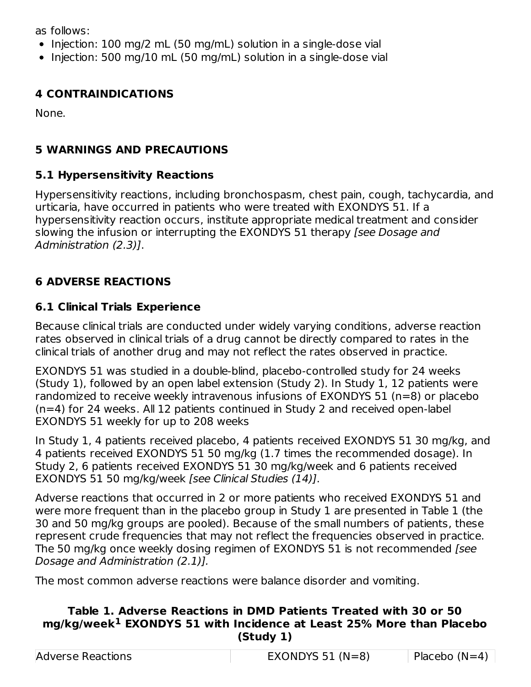as follows:

- $\bullet$  Injection: 100 mg/2 mL (50 mg/mL) solution in a single-dose vial
- Injection: 500 mg/10 mL (50 mg/mL) solution in a single-dose vial

# **4 CONTRAINDICATIONS**

None.

# **5 WARNINGS AND PRECAUTIONS**

# **5.1 Hypersensitivity Reactions**

Hypersensitivity reactions, including bronchospasm, chest pain, cough, tachycardia, and urticaria, have occurred in patients who were treated with EXONDYS 51. If a hypersensitivity reaction occurs, institute appropriate medical treatment and consider slowing the infusion or interrupting the EXONDYS 51 therapy [see Dosage and Administration (2.3)].

# **6 ADVERSE REACTIONS**

# **6.1 Clinical Trials Experience**

Because clinical trials are conducted under widely varying conditions, adverse reaction rates observed in clinical trials of a drug cannot be directly compared to rates in the clinical trials of another drug and may not reflect the rates observed in practice.

EXONDYS 51 was studied in a double-blind, placebo-controlled study for 24 weeks (Study 1), followed by an open label extension (Study 2). In Study 1, 12 patients were randomized to receive weekly intravenous infusions of EXONDYS 51 (n=8) or placebo (n=4) for 24 weeks. All 12 patients continued in Study 2 and received open-label EXONDYS 51 weekly for up to 208 weeks

In Study 1, 4 patients received placebo, 4 patients received EXONDYS 51 30 mg/kg, and 4 patients received EXONDYS 51 50 mg/kg (1.7 times the recommended dosage). In Study 2, 6 patients received EXONDYS 51 30 mg/kg/week and 6 patients received EXONDYS 51 50 mg/kg/week [see Clinical Studies (14)].

Adverse reactions that occurred in 2 or more patients who received EXONDYS 51 and were more frequent than in the placebo group in Study 1 are presented in Table 1 (the 30 and 50 mg/kg groups are pooled). Because of the small numbers of patients, these represent crude frequencies that may not reflect the frequencies observed in practice. The 50 mg/kg once weekly dosing regimen of EXONDYS 51 is not recommended *[see*] Dosage and Administration (2.1)].

The most common adverse reactions were balance disorder and vomiting.

### **Table 1. Adverse Reactions in DMD Patients Treated with 30 or 50 mg/kg/week EXONDYS 51 with Incidence at Least 25% More than Placebo 1(Study 1)**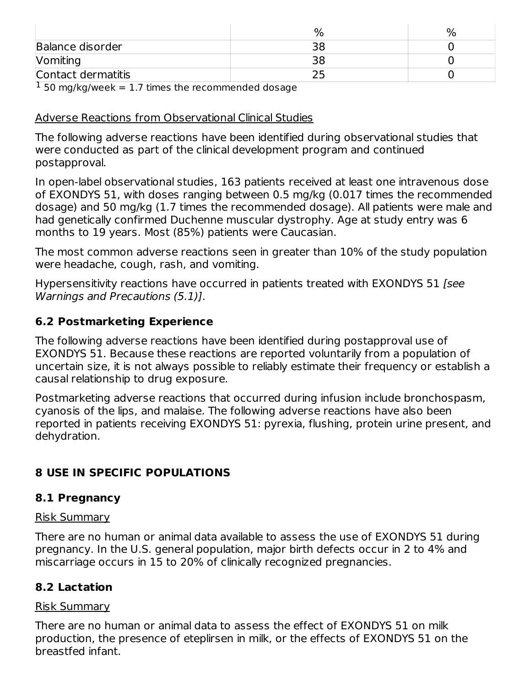| <b>Balance disorder</b> | эc  |  |
|-------------------------|-----|--|
| Vomiting                | ח ר |  |
| Contact dermatitis      |     |  |

 $1$  50 mg/kg/week = 1.7 times the recommended dosage

### Adverse Reactions from Observational Clinical Studies

The following adverse reactions have been identified during observational studies that were conducted as part of the clinical development program and continued postapproval.

In open-label observational studies, 163 patients received at least one intravenous dose of EXONDYS 51, with doses ranging between 0.5 mg/kg (0.017 times the recommended dosage) and 50 mg/kg (1.7 times the recommended dosage). All patients were male and had genetically confirmed Duchenne muscular dystrophy. Age at study entry was 6 months to 19 years. Most (85%) patients were Caucasian.

The most common adverse reactions seen in greater than 10% of the study population were headache, cough, rash, and vomiting.

Hypersensitivity reactions have occurred in patients treated with EXONDYS 51 [see Warnings and Precautions (5.1)].

### **6.2 Postmarketing Experience**

The following adverse reactions have been identified during postapproval use of EXONDYS 51. Because these reactions are reported voluntarily from a population of uncertain size, it is not always possible to reliably estimate their frequency or establish a causal relationship to drug exposure.

Postmarketing adverse reactions that occurred during infusion include bronchospasm, cyanosis of the lips, and malaise. The following adverse reactions have also been reported in patients receiving EXONDYS 51: pyrexia, flushing, protein urine present, and dehydration.

## **8 USE IN SPECIFIC POPULATIONS**

### **8.1 Pregnancy**

### Risk Summary

There are no human or animal data available to assess the use of EXONDYS 51 during pregnancy. In the U.S. general population, major birth defects occur in 2 to 4% and miscarriage occurs in 15 to 20% of clinically recognized pregnancies.

### **8.2 Lactation**

### Risk Summary

There are no human or animal data to assess the effect of EXONDYS 51 on milk production, the presence of eteplirsen in milk, or the effects of EXONDYS 51 on the breastfed infant.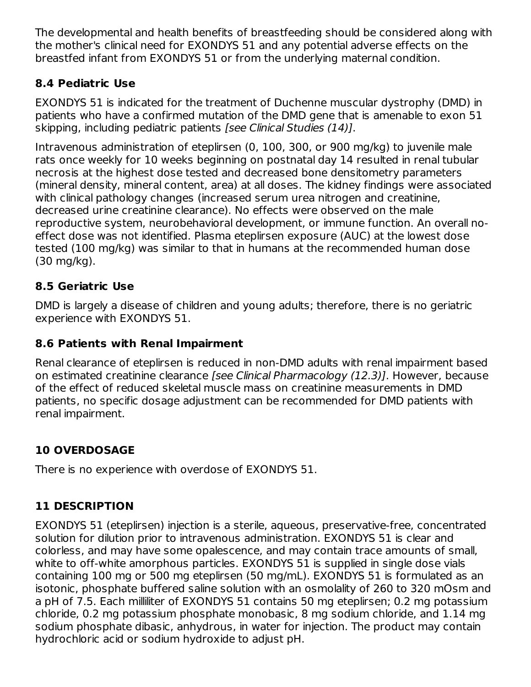The developmental and health benefits of breastfeeding should be considered along with the mother's clinical need for EXONDYS 51 and any potential adverse effects on the breastfed infant from EXONDYS 51 or from the underlying maternal condition.

# **8.4 Pediatric Use**

EXONDYS 51 is indicated for the treatment of Duchenne muscular dystrophy (DMD) in patients who have a confirmed mutation of the DMD gene that is amenable to exon 51 skipping, including pediatric patients [see Clinical Studies (14)].

Intravenous administration of eteplirsen (0, 100, 300, or 900 mg/kg) to juvenile male rats once weekly for 10 weeks beginning on postnatal day 14 resulted in renal tubular necrosis at the highest dose tested and decreased bone densitometry parameters (mineral density, mineral content, area) at all doses. The kidney findings were associated with clinical pathology changes (increased serum urea nitrogen and creatinine, decreased urine creatinine clearance). No effects were observed on the male reproductive system, neurobehavioral development, or immune function. An overall noeffect dose was not identified. Plasma eteplirsen exposure (AUC) at the lowest dose tested (100 mg/kg) was similar to that in humans at the recommended human dose (30 mg/kg).

# **8.5 Geriatric Use**

DMD is largely a disease of children and young adults; therefore, there is no geriatric experience with EXONDYS 51.

# **8.6 Patients with Renal Impairment**

Renal clearance of eteplirsen is reduced in non-DMD adults with renal impairment based on estimated creatinine clearance [see Clinical Pharmacology (12.3)]. However, because of the effect of reduced skeletal muscle mass on creatinine measurements in DMD patients, no specific dosage adjustment can be recommended for DMD patients with renal impairment.

# **10 OVERDOSAGE**

There is no experience with overdose of EXONDYS 51.

# **11 DESCRIPTION**

EXONDYS 51 (eteplirsen) injection is a sterile, aqueous, preservative-free, concentrated solution for dilution prior to intravenous administration. EXONDYS 51 is clear and colorless, and may have some opalescence, and may contain trace amounts of small, white to off-white amorphous particles. EXONDYS 51 is supplied in single dose vials containing 100 mg or 500 mg eteplirsen (50 mg/mL). EXONDYS 51 is formulated as an isotonic, phosphate buffered saline solution with an osmolality of 260 to 320 mOsm and a pH of 7.5. Each milliliter of EXONDYS 51 contains 50 mg eteplirsen; 0.2 mg potassium chloride, 0.2 mg potassium phosphate monobasic, 8 mg sodium chloride, and 1.14 mg sodium phosphate dibasic, anhydrous, in water for injection. The product may contain hydrochloric acid or sodium hydroxide to adjust pH.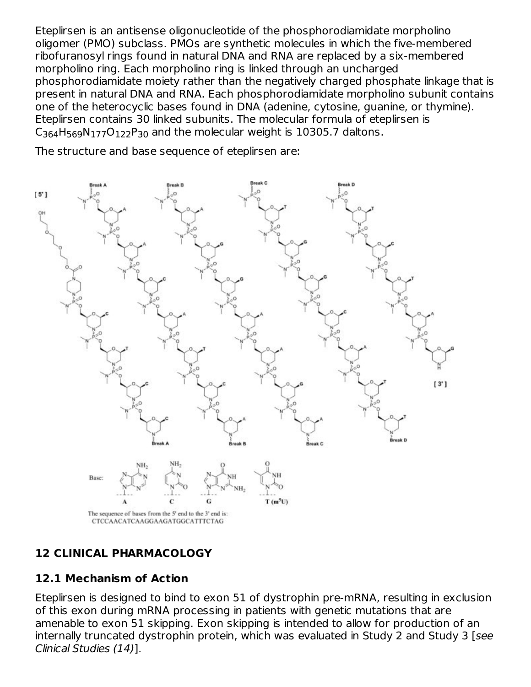Eteplirsen is an antisense oligonucleotide of the phosphorodiamidate morpholino oligomer (PMO) subclass. PMOs are synthetic molecules in which the five-membered ribofuranosyl rings found in natural DNA and RNA are replaced by a six-membered morpholino ring. Each morpholino ring is linked through an uncharged phosphorodiamidate moiety rather than the negatively charged phosphate linkage that is present in natural DNA and RNA. Each phosphorodiamidate morpholino subunit contains one of the heterocyclic bases found in DNA (adenine, cytosine, guanine, or thymine). Eteplirsen contains 30 linked subunits. The molecular formula of eteplirsen is  $C_{364}H_{569}N_{177}O_{122}P_{30}$  and the molecular weight is 10305.7 daltons.

The structure and base sequence of eteplirsen are:



# **12 CLINICAL PHARMACOLOGY**

## **12.1 Mechanism of Action**

Eteplirsen is designed to bind to exon 51 of dystrophin pre-mRNA, resulting in exclusion of this exon during mRNA processing in patients with genetic mutations that are amenable to exon 51 skipping. Exon skipping is intended to allow for production of an internally truncated dystrophin protein, which was evaluated in Study 2 and Study 3 [see Clinical Studies (14)].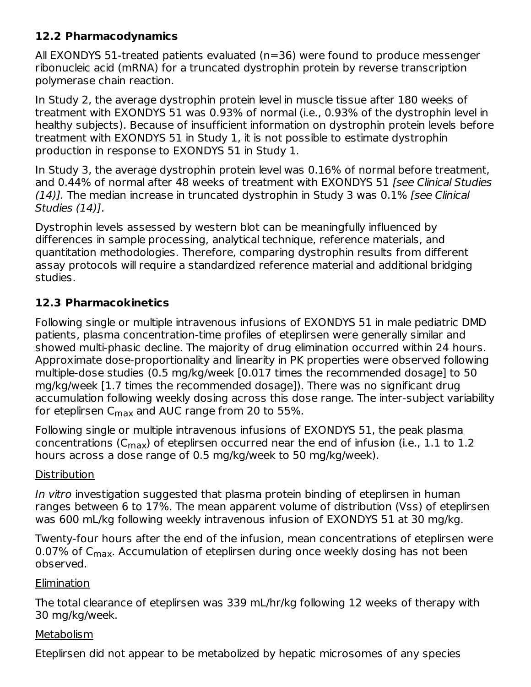## **12.2 Pharmacodynamics**

All EXONDYS 51-treated patients evaluated (n=36) were found to produce messenger ribonucleic acid (mRNA) for a truncated dystrophin protein by reverse transcription polymerase chain reaction.

In Study 2, the average dystrophin protein level in muscle tissue after 180 weeks of treatment with EXONDYS 51 was 0.93% of normal (i.e., 0.93% of the dystrophin level in healthy subjects). Because of insufficient information on dystrophin protein levels before treatment with EXONDYS 51 in Study 1, it is not possible to estimate dystrophin production in response to EXONDYS 51 in Study 1.

In Study 3, the average dystrophin protein level was 0.16% of normal before treatment, and 0.44% of normal after 48 weeks of treatment with EXONDYS 51 [see Clinical Studies  $(14)$ ]. The median increase in truncated dystrophin in Study 3 was 0.1% [see Clinical Studies (14)].

Dystrophin levels assessed by western blot can be meaningfully influenced by differences in sample processing, analytical technique, reference materials, and quantitation methodologies. Therefore, comparing dystrophin results from different assay protocols will require a standardized reference material and additional bridging studies.

## **12.3 Pharmacokinetics**

Following single or multiple intravenous infusions of EXONDYS 51 in male pediatric DMD patients, plasma concentration-time profiles of eteplirsen were generally similar and showed multi-phasic decline. The majority of drug elimination occurred within 24 hours. Approximate dose-proportionality and linearity in PK properties were observed following multiple-dose studies (0.5 mg/kg/week [0.017 times the recommended dosage] to 50 mg/kg/week [1.7 times the recommended dosage]). There was no significant drug accumulation following weekly dosing across this dose range. The inter-subject variability for eteplirsen C $_{\sf max}$  and AUC range from 20 to 55%.

Following single or multiple intravenous infusions of EXONDYS 51, the peak plasma concentrations (C $_{\sf max}$ ) of eteplirsen occurred near the end of infusion (i.e.,  $1.1$  to  $1.2$ hours across a dose range of 0.5 mg/kg/week to 50 mg/kg/week).

## **Distribution**

In vitro investigation suggested that plasma protein binding of eteplirsen in human ranges between 6 to 17%. The mean apparent volume of distribution (Vss) of eteplirsen was 600 mL/kg following weekly intravenous infusion of EXONDYS 51 at 30 mg/kg.

Twenty-four hours after the end of the infusion, mean concentrations of eteplirsen were 0.07% of C<sub>max</sub>. Accumulation of eteplirsen during once weekly dosing has not been observed.

## Elimination

The total clearance of eteplirsen was 339 mL/hr/kg following 12 weeks of therapy with 30 mg/kg/week.

### **Metabolism**

Eteplirsen did not appear to be metabolized by hepatic microsomes of any species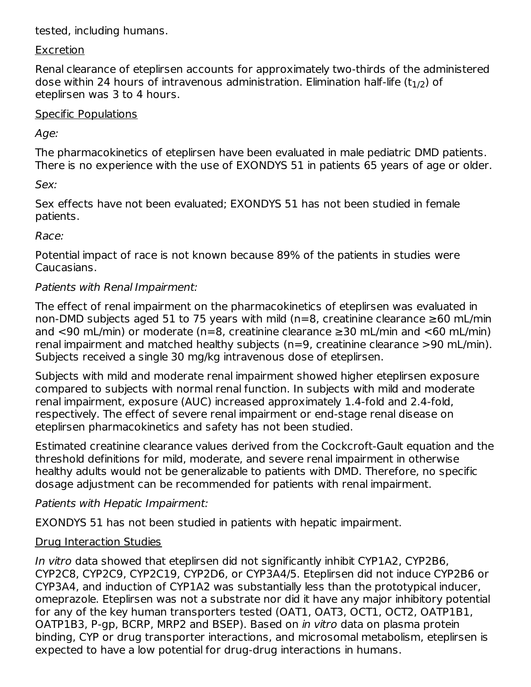### tested, including humans.

### Excretion

Renal clearance of eteplirsen accounts for approximately two-thirds of the administered dose within 24 hours of intravenous administration. Elimination half-life (t $_{\rm 1/2})$  of eteplirsen was 3 to 4 hours.

### Specific Populations

Age:

The pharmacokinetics of eteplirsen have been evaluated in male pediatric DMD patients. There is no experience with the use of EXONDYS 51 in patients 65 years of age or older.

Sex:

Sex effects have not been evaluated; EXONDYS 51 has not been studied in female patients.

Race:

Potential impact of race is not known because 89% of the patients in studies were Caucasians.

## Patients with Renal Impairment:

The effect of renal impairment on the pharmacokinetics of eteplirsen was evaluated in non-DMD subjects aged 51 to 75 years with mild (n=8, creatinine clearance ≥60 mL/min and <90 mL/min) or moderate (n=8, creatinine clearance  $\geq$ 30 mL/min and <60 mL/min) renal impairment and matched healthy subjects (n=9, creatinine clearance >90 mL/min). Subjects received a single 30 mg/kg intravenous dose of eteplirsen.

Subjects with mild and moderate renal impairment showed higher eteplirsen exposure compared to subjects with normal renal function. In subjects with mild and moderate renal impairment, exposure (AUC) increased approximately 1.4-fold and 2.4-fold, respectively. The effect of severe renal impairment or end-stage renal disease on eteplirsen pharmacokinetics and safety has not been studied.

Estimated creatinine clearance values derived from the Cockcroft-Gault equation and the threshold definitions for mild, moderate, and severe renal impairment in otherwise healthy adults would not be generalizable to patients with DMD. Therefore, no specific dosage adjustment can be recommended for patients with renal impairment.

## Patients with Hepatic Impairment:

EXONDYS 51 has not been studied in patients with hepatic impairment.

## Drug Interaction Studies

In vitro data showed that eteplirsen did not significantly inhibit CYP1A2, CYP2B6, CYP2C8, CYP2C9, CYP2C19, CYP2D6, or CYP3A4/5. Eteplirsen did not induce CYP2B6 or CYP3A4, and induction of CYP1A2 was substantially less than the prototypical inducer, omeprazole. Eteplirsen was not a substrate nor did it have any major inhibitory potential for any of the key human transporters tested (OAT1, OAT3, OCT1, OCT2, OATP1B1, OATP1B3, P-gp, BCRP, MRP2 and BSEP). Based on in vitro data on plasma protein binding, CYP or drug transporter interactions, and microsomal metabolism, eteplirsen is expected to have a low potential for drug-drug interactions in humans.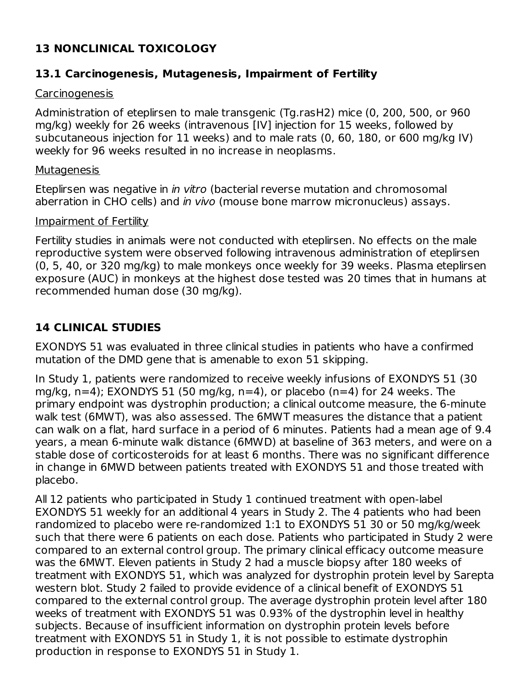## **13 NONCLINICAL TOXICOLOGY**

### **13.1 Carcinogenesis, Mutagenesis, Impairment of Fertility**

### Carcinogenesis

Administration of eteplirsen to male transgenic (Tg.rasH2) mice (0, 200, 500, or 960 mg/kg) weekly for 26 weeks (intravenous [IV] injection for 15 weeks, followed by subcutaneous injection for 11 weeks) and to male rats (0, 60, 180, or 600 mg/kg IV) weekly for 96 weeks resulted in no increase in neoplasms.

### Mutagenesis

Eteplirsen was negative in *in vitro* (bacterial reverse mutation and chromosomal aberration in CHO cells) and in vivo (mouse bone marrow micronucleus) assays.

### Impairment of Fertility

Fertility studies in animals were not conducted with eteplirsen. No effects on the male reproductive system were observed following intravenous administration of eteplirsen (0, 5, 40, or 320 mg/kg) to male monkeys once weekly for 39 weeks. Plasma eteplirsen exposure (AUC) in monkeys at the highest dose tested was 20 times that in humans at recommended human dose (30 mg/kg).

## **14 CLINICAL STUDIES**

EXONDYS 51 was evaluated in three clinical studies in patients who have a confirmed mutation of the DMD gene that is amenable to exon 51 skipping.

In Study 1, patients were randomized to receive weekly infusions of EXONDYS 51 (30 mg/kg,  $n=4$ ); EXONDYS 51 (50 mg/kg,  $n=4$ ), or placebo ( $n=4$ ) for 24 weeks. The primary endpoint was dystrophin production; a clinical outcome measure, the 6-minute walk test (6MWT), was also assessed. The 6MWT measures the distance that a patient can walk on a flat, hard surface in a period of 6 minutes. Patients had a mean age of 9.4 years, a mean 6-minute walk distance (6MWD) at baseline of 363 meters, and were on a stable dose of corticosteroids for at least 6 months. There was no significant difference in change in 6MWD between patients treated with EXONDYS 51 and those treated with placebo.

All 12 patients who participated in Study 1 continued treatment with open-label EXONDYS 51 weekly for an additional 4 years in Study 2. The 4 patients who had been randomized to placebo were re-randomized 1:1 to EXONDYS 51 30 or 50 mg/kg/week such that there were 6 patients on each dose. Patients who participated in Study 2 were compared to an external control group. The primary clinical efficacy outcome measure was the 6MWT. Eleven patients in Study 2 had a muscle biopsy after 180 weeks of treatment with EXONDYS 51, which was analyzed for dystrophin protein level by Sarepta western blot. Study 2 failed to provide evidence of a clinical benefit of EXONDYS 51 compared to the external control group. The average dystrophin protein level after 180 weeks of treatment with EXONDYS 51 was 0.93% of the dystrophin level in healthy subjects. Because of insufficient information on dystrophin protein levels before treatment with EXONDYS 51 in Study 1, it is not possible to estimate dystrophin production in response to EXONDYS 51 in Study 1.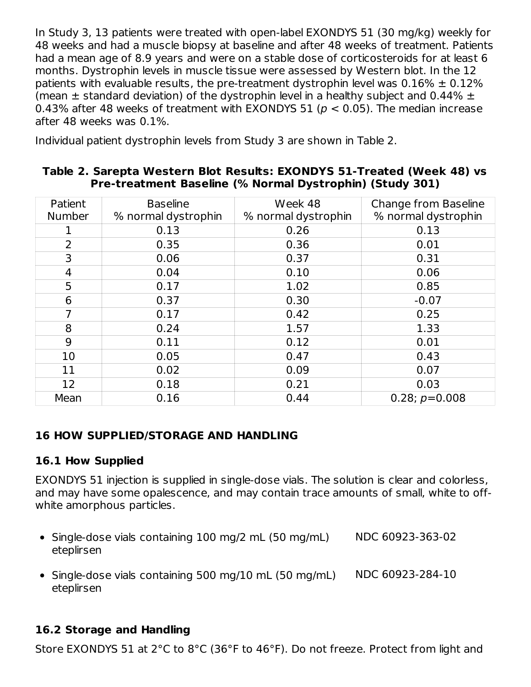In Study 3, 13 patients were treated with open-label EXONDYS 51 (30 mg/kg) weekly for 48 weeks and had a muscle biopsy at baseline and after 48 weeks of treatment. Patients had a mean age of 8.9 years and were on a stable dose of corticosteroids for at least 6 months. Dystrophin levels in muscle tissue were assessed by Western blot. In the 12 patients with evaluable results, the pre-treatment dystrophin level was  $0.16\% \pm 0.12\%$ (mean  $\pm$  standard deviation) of the dystrophin level in a healthy subject and 0.44%  $\pm$ 0.43% after 48 weeks of treatment with EXONDYS 51 ( $p < 0.05$ ). The median increase after 48 weeks was 0.1%.

Individual patient dystrophin levels from Study 3 are shown in Table 2.

#### **Table 2. Sarepta Western Blot Results: EXONDYS 51-Treated (Week 48) vs Pre-treatment Baseline (% Normal Dystrophin) (Study 301)**

| Patient        | <b>Baseline</b>     | Week 48             | Change from Baseline |
|----------------|---------------------|---------------------|----------------------|
| <b>Number</b>  | % normal dystrophin | % normal dystrophin | % normal dystrophin  |
|                | 0.13                | 0.26                | 0.13                 |
| $\overline{2}$ | 0.35                | 0.36                | 0.01                 |
| 3              | 0.06                | 0.37                | 0.31                 |
| 4              | 0.04                | 0.10                | 0.06                 |
| 5              | 0.17                | 1.02                | 0.85                 |
| 6              | 0.37                | 0.30                | $-0.07$              |
| 7              | 0.17                | 0.42                | 0.25                 |
| 8              | 0.24                | 1.57                | 1.33                 |
| 9              | 0.11                | 0.12                | 0.01                 |
| 10             | 0.05                | 0.47                | 0.43                 |
| 11             | 0.02                | 0.09                | 0.07                 |
| 12             | 0.18                | 0.21                | 0.03                 |
| Mean           | 0.16                | 0.44                | $0.28; p=0.008$      |

## **16 HOW SUPPLIED/STORAGE AND HANDLING**

## **16.1 How Supplied**

EXONDYS 51 injection is supplied in single-dose vials. The solution is clear and colorless, and may have some opalescence, and may contain trace amounts of small, white to offwhite amorphous particles.

- Single-dose vials containing 100 mg/2 mL (50 mg/mL) eteplirsen NDC 60923-363-02
- Single-dose vials containing 500 mg/10 mL (50 mg/mL) eteplirsen NDC 60923-284-10

# **16.2 Storage and Handling**

Store EXONDYS 51 at 2°C to 8°C (36°F to 46°F). Do not freeze. Protect from light and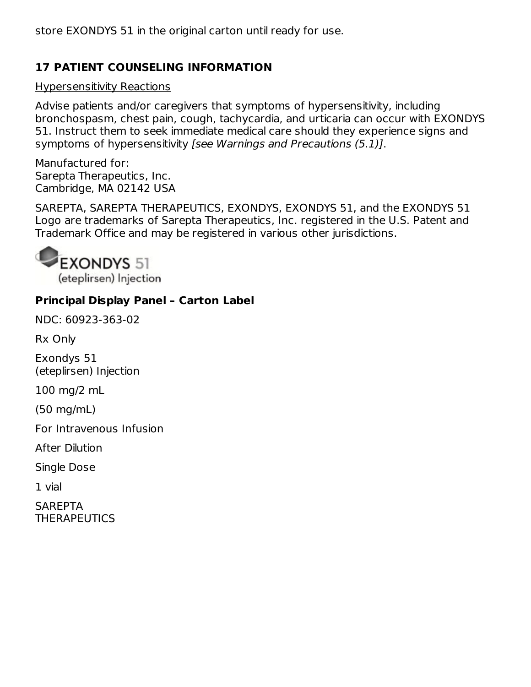store EXONDYS 51 in the original carton until ready for use.

## **17 PATIENT COUNSELING INFORMATION**

### Hypersensitivity Reactions

Advise patients and/or caregivers that symptoms of hypersensitivity, including bronchospasm, chest pain, cough, tachycardia, and urticaria can occur with EXONDYS 51. Instruct them to seek immediate medical care should they experience signs and symptoms of hypersensitivity [see Warnings and Precautions (5.1)].

Manufactured for: Sarepta Therapeutics, Inc. Cambridge, MA 02142 USA

SAREPTA, SAREPTA THERAPEUTICS, EXONDYS, EXONDYS 51, and the EXONDYS 51 Logo are trademarks of Sarepta Therapeutics, Inc. registered in the U.S. Patent and Trademark Office and may be registered in various other jurisdictions.



## **Principal Display Panel – Carton Label**

NDC: 60923-363-02

Rx Only

Exondys 51 (eteplirsen) Injection

100 mg/2 mL

(50 mg/mL)

For Intravenous Infusion

After Dilution

Single Dose

1 vial

**SAREPTA THERAPEUTICS**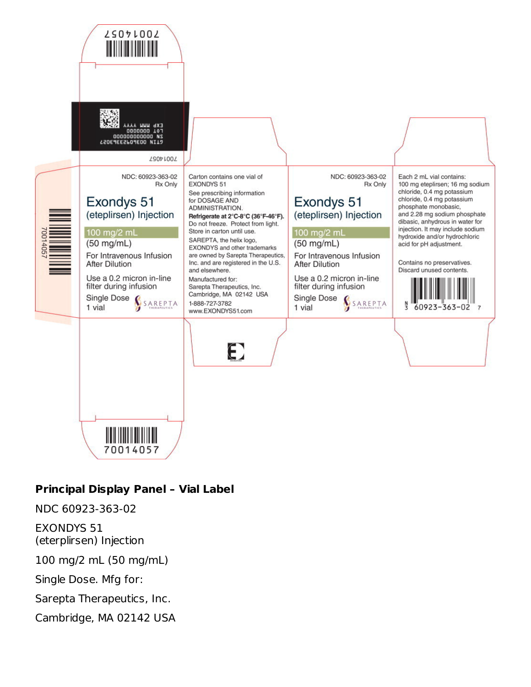

# **Principal Display Panel – Vial Label**

NDC 60923-363-02

EXONDYS 51 (eterplirsen) Injection

100 mg/2 mL (50 mg/mL)

Single Dose. Mfg for:

Sarepta Therapeutics, Inc.

Cambridge, MA 02142 USA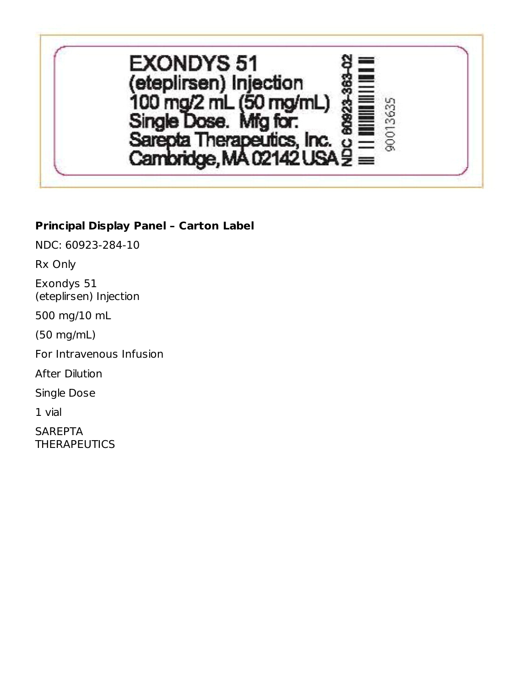

### **Principal Display Panel – Carton Label**

NDC: 60923-284-10

Rx Only

Exondys 51 (eteplirsen) Injection

500 mg/10 mL

(50 mg/mL)

For Intravenous Infusion

After Dilution

Single Dose

1 vial

**SAREPTA THERAPEUTICS**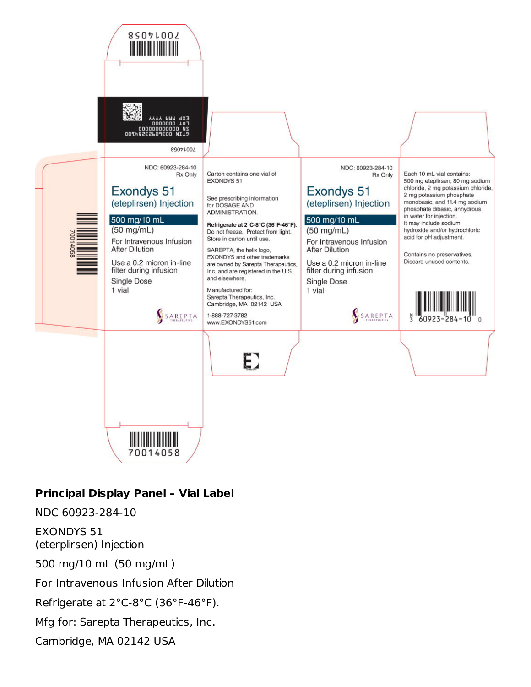

### **Principal Display Panel – Vial Label**

NDC 60923-284-10

EXONDYS 51 (eterplirsen) Injection

500 mg/10 mL (50 mg/mL)

For Intravenous Infusion After Dilution

Refrigerate at 2°C-8°C (36°F-46°F).

Mfg for: Sarepta Therapeutics, Inc.

Cambridge, MA 02142 USA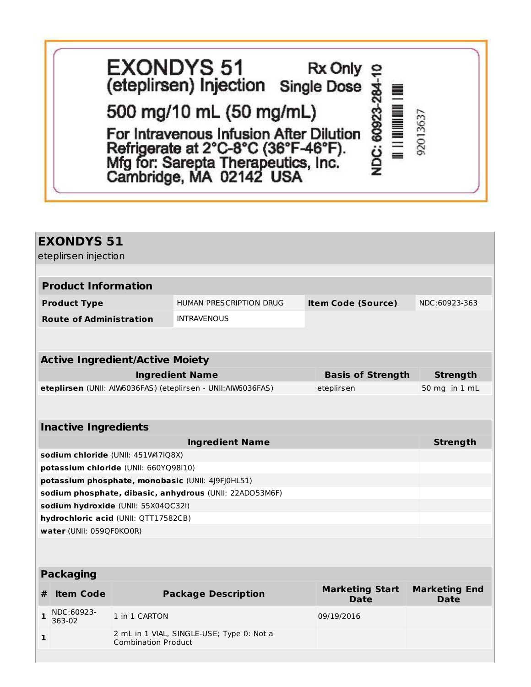| <b>EXONDYS 51</b><br>(eteplirsen) Injection Single Dose $\frac{1}{\infty}$ ≡                                                                     | $Rx$ Only $\Omega$ |            |          |
|--------------------------------------------------------------------------------------------------------------------------------------------------|--------------------|------------|----------|
| 500 mg/10 mL (50 mg/mL)                                                                                                                          |                    |            |          |
| For Intravenous Infusion After Dilution<br>Refrigerate at 2°C-8°C (36°F-46°F).<br>Mfg for: Sarepta Therapeutics, Inc.<br>Cambridge, MA 02142 USA |                    | : 6092<br> | 92013637 |

|   | <b>EXONDYS 51</b>              |                                        |                                                              |                                |                              |  |
|---|--------------------------------|----------------------------------------|--------------------------------------------------------------|--------------------------------|------------------------------|--|
|   | eteplirsen injection           |                                        |                                                              |                                |                              |  |
|   |                                |                                        |                                                              |                                |                              |  |
|   | <b>Product Information</b>     |                                        |                                                              |                                |                              |  |
|   | <b>Product Type</b>            |                                        | HUMAN PRESCRIPTION DRUG                                      | <b>Item Code (Source)</b>      | NDC:60923-363                |  |
|   | <b>Route of Administration</b> |                                        | <b>INTRAVENOUS</b>                                           |                                |                              |  |
|   |                                |                                        |                                                              |                                |                              |  |
|   |                                |                                        |                                                              |                                |                              |  |
|   |                                | <b>Active Ingredient/Active Moiety</b> |                                                              |                                |                              |  |
|   |                                |                                        | <b>Ingredient Name</b>                                       | <b>Basis of Strength</b>       | <b>Strength</b>              |  |
|   |                                |                                        | eteplirsen (UNII: AIW6036FAS) (eteplirsen - UNII:AIW6036FAS) | eteplirsen                     | 50 mg in 1 mL                |  |
|   |                                |                                        |                                                              |                                |                              |  |
|   | <b>Inactive Ingredients</b>    |                                        |                                                              |                                |                              |  |
|   |                                |                                        | <b>Ingredient Name</b>                                       |                                | <b>Strength</b>              |  |
|   |                                | sodium chloride (UNII: 451W47IQ8X)     |                                                              |                                |                              |  |
|   |                                | potassium chloride (UNII: 660YQ98I10)  |                                                              |                                |                              |  |
|   |                                |                                        | potassium phosphate, monobasic (UNII: 4J9FJ0HL51)            |                                |                              |  |
|   |                                |                                        | sodium phosphate, dibasic, anhydrous (UNII: 22ADO53M6F)      |                                |                              |  |
|   |                                | sodium hydroxide (UNII: 55X04QC32I)    |                                                              |                                |                              |  |
|   |                                | hydrochloric acid (UNII: QTT17582CB)   |                                                              |                                |                              |  |
|   | water (UNII: 059QF0KO0R)       |                                        |                                                              |                                |                              |  |
|   |                                |                                        |                                                              |                                |                              |  |
|   |                                |                                        |                                                              |                                |                              |  |
|   | <b>Packaging</b>               |                                        |                                                              |                                |                              |  |
| # | <b>Item Code</b>               |                                        | <b>Package Description</b>                                   | <b>Marketing Start</b><br>Date | <b>Marketing End</b><br>Date |  |
|   | NDC:60923                      |                                        |                                                              |                                |                              |  |

**1** NDC:60923-363-02 1 in 1 CARTON 09/19/2016 **1** 2 mL in 1 VIAL, SINGLE-USE; Type 0: Not a Combination Product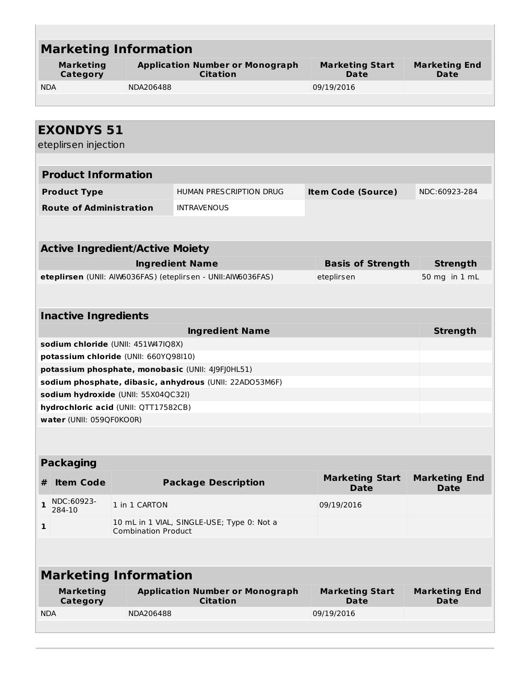| <b>Marketing</b><br><b>Category</b>    | <b>Marketing Information</b><br><b>Application Number or Monograph</b><br><b>Marketing Start</b><br><b>Citation</b><br>Date |                                                              |            |                                       | <b>Marketing End</b><br>Date        |  |  |  |
|----------------------------------------|-----------------------------------------------------------------------------------------------------------------------------|--------------------------------------------------------------|------------|---------------------------------------|-------------------------------------|--|--|--|
| <b>NDA</b>                             | 09/19/2016<br>NDA206488                                                                                                     |                                                              |            |                                       |                                     |  |  |  |
| <b>EXONDYS 51</b>                      |                                                                                                                             |                                                              |            |                                       |                                     |  |  |  |
| eteplirsen injection                   |                                                                                                                             |                                                              |            |                                       |                                     |  |  |  |
| <b>Product Information</b>             |                                                                                                                             |                                                              |            |                                       |                                     |  |  |  |
| <b>Product Type</b>                    |                                                                                                                             | HUMAN PRESCRIPTION DRUG                                      |            | <b>Item Code (Source)</b>             | NDC:60923-284                       |  |  |  |
| <b>Route of Administration</b>         |                                                                                                                             | <b>INTRAVENOUS</b>                                           |            |                                       |                                     |  |  |  |
|                                        |                                                                                                                             |                                                              |            |                                       |                                     |  |  |  |
| <b>Active Ingredient/Active Moiety</b> |                                                                                                                             |                                                              |            |                                       |                                     |  |  |  |
|                                        |                                                                                                                             | <b>Ingredient Name</b>                                       |            | <b>Basis of Strength</b>              | <b>Strength</b>                     |  |  |  |
|                                        |                                                                                                                             | eteplirsen (UNII: AIW6036FAS) (eteplirsen - UNII:AIW6036FAS) | eteplirsen |                                       | 50 mg in 1 mL                       |  |  |  |
| <b>Inactive Ingredients</b>            |                                                                                                                             |                                                              |            |                                       |                                     |  |  |  |
|                                        |                                                                                                                             | <b>Ingredient Name</b>                                       |            |                                       | <b>Strength</b>                     |  |  |  |
| sodium chloride (UNII: 451W47IQ8X)     |                                                                                                                             |                                                              |            |                                       |                                     |  |  |  |
| potassium chloride (UNII: 660YQ98I10)  |                                                                                                                             |                                                              |            |                                       |                                     |  |  |  |
|                                        |                                                                                                                             | potassium phosphate, monobasic (UNII: 4J9FJ0HL51)            |            |                                       |                                     |  |  |  |
| sodium hydroxide (UNII: 55X04QC32I)    |                                                                                                                             | sodium phosphate, dibasic, anhydrous (UNII: 22ADO53M6F)      |            |                                       |                                     |  |  |  |
| hydrochloric acid (UNII: QTT17582CB)   |                                                                                                                             |                                                              |            |                                       |                                     |  |  |  |
| water (UNII: 059QF0KO0R)               |                                                                                                                             |                                                              |            |                                       |                                     |  |  |  |
|                                        |                                                                                                                             |                                                              |            |                                       |                                     |  |  |  |
| <b>Packaging</b>                       |                                                                                                                             |                                                              |            |                                       |                                     |  |  |  |
| <b>Item Code</b><br>#                  |                                                                                                                             | <b>Package Description</b>                                   |            | <b>Marketing Start</b><br><b>Date</b> | <b>Marketing End</b><br><b>Date</b> |  |  |  |
| NDC:60923-<br>$\mathbf{1}$<br>284-10   | 1 in 1 CARTON                                                                                                               |                                                              |            | 09/19/2016                            |                                     |  |  |  |
| 1                                      | <b>Combination Product</b>                                                                                                  | 10 mL in 1 VIAL, SINGLE-USE; Type 0: Not a                   |            |                                       |                                     |  |  |  |
|                                        |                                                                                                                             |                                                              |            |                                       |                                     |  |  |  |
|                                        |                                                                                                                             |                                                              |            |                                       |                                     |  |  |  |
| <b>Marketing Information</b>           |                                                                                                                             |                                                              |            |                                       |                                     |  |  |  |

| Marketing  | <b>Application Number or Monograph</b> | <b>Marketing Start</b> | <b>Marketing End</b> |  |
|------------|----------------------------------------|------------------------|----------------------|--|
| Category   | <b>Citation</b>                        | Date                   | Date                 |  |
| <b>NDA</b> | NDA206488                              | 09/19/2016             |                      |  |